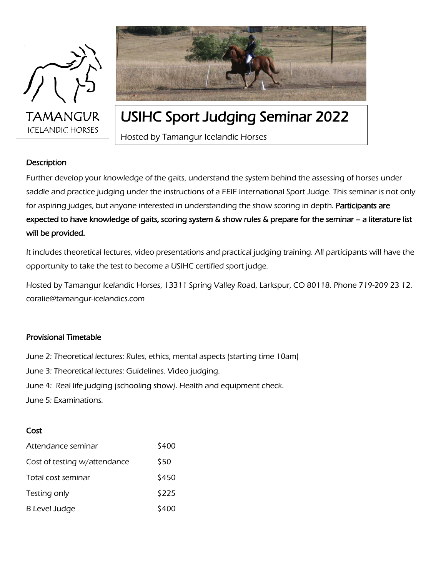



### USIHC Sport Judging Seminar 2022

Hosted by Tamangur Icelandic Horses

#### **Description**

Further develop your knowledge of the gaits, understand the system behind the assessing of horses under saddle and practice judging under the instructions of a FEIF International Sport Judge. This seminar is not only for aspiring judges, but anyone interested in understanding the show scoring in depth. Participants are expected to have knowledge of gaits, scoring system & show rules & prepare for the seminar – a literature list will be provided.

It includes theoretical lectures, video presentations and practical judging training. All participants will have the opportunity to take the test to become a USIHC certified sport judge.

Hosted by Tamangur Icelandic Horses, 13311 Spring Valley Road, Larkspur, CO 80118. Phone 719-209 23 12. coralie@tamangur-icelandics.com

#### Provisional Timetable

June 2: Theoretical lectures: Rules, ethics, mental aspects (starting time 10am) June 3: Theoretical lectures: Guidelines. Video judging. June 4: Real life judging (schooling show). Health and equipment check. June 5: Examinations.

#### Cost

| Attendance seminar           | \$400 |
|------------------------------|-------|
| Cost of testing w/attendance | \$50  |
| Total cost seminar           | \$450 |
| Testing only                 | \$225 |
| <b>B Level Judge</b>         | \$400 |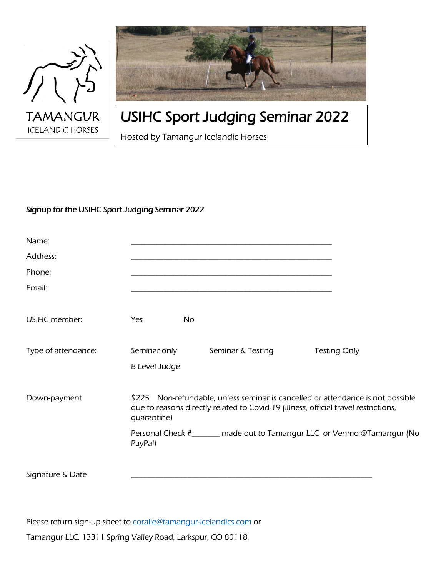



## USIHC Sport Judging Seminar 2022

Hosted by Tamangur Icelandic Horses

### Signup for the USIHC Sport Judging Seminar 2022

| Name:                |                                                                                                                                                                                       |                   |  |                                                                         |
|----------------------|---------------------------------------------------------------------------------------------------------------------------------------------------------------------------------------|-------------------|--|-------------------------------------------------------------------------|
| Address:             |                                                                                                                                                                                       |                   |  |                                                                         |
| Phone:               |                                                                                                                                                                                       |                   |  |                                                                         |
| Email:               |                                                                                                                                                                                       |                   |  |                                                                         |
| <b>USIHC</b> member: | Yes                                                                                                                                                                                   | <b>No</b>         |  |                                                                         |
| Type of attendance:  | Seminar only<br><b>B</b> Level Judge                                                                                                                                                  | Seminar & Testing |  | <b>Testing Only</b>                                                     |
| Down-payment         | \$225 Non-refundable, unless seminar is cancelled or attendance is not possible<br>due to reasons directly related to Covid-19 (illness, official travel restrictions,<br>quarantine) |                   |  |                                                                         |
|                      | PayPal)                                                                                                                                                                               |                   |  | Personal Check #_______ made out to Tamangur LLC or Venmo @Tamangur (No |
| Signature & Date     |                                                                                                                                                                                       |                   |  |                                                                         |

Please return sign-up sheet to [coralie@tamangur-icelandics.com](mailto:coralie@tamangur-icelandics.com) or

Tamangur LLC, 13311 Spring Valley Road, Larkspur, CO 80118.